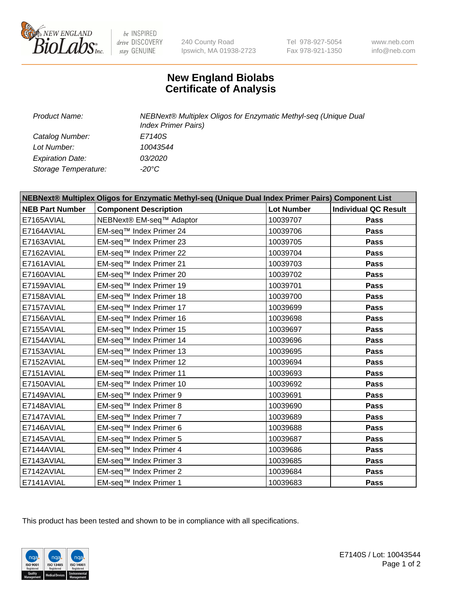

be INSPIRED drive DISCOVERY stay GENUINE

240 County Road Ipswich, MA 01938-2723 Tel 978-927-5054 Fax 978-921-1350

www.neb.com info@neb.com

## **New England Biolabs Certificate of Analysis**

*Catalog Number: E7140S Lot Number: 10043544 Expiration Date: 03/2020 Storage Temperature: -20°C*

*Product Name: NEBNext® Multiplex Oligos for Enzymatic Methyl-seq (Unique Dual Index Primer Pairs)*

| NEBNext® Multiplex Oligos for Enzymatic Methyl-seq (Unique Dual Index Primer Pairs) Component List |                              |                   |                             |
|----------------------------------------------------------------------------------------------------|------------------------------|-------------------|-----------------------------|
| <b>NEB Part Number</b>                                                                             | <b>Component Description</b> | <b>Lot Number</b> | <b>Individual QC Result</b> |
| E7165AVIAL                                                                                         | NEBNext® EM-seq™ Adaptor     | 10039707          | Pass                        |
| E7164AVIAL                                                                                         | EM-seq™ Index Primer 24      | 10039706          | <b>Pass</b>                 |
| E7163AVIAL                                                                                         | EM-seq™ Index Primer 23      | 10039705          | Pass                        |
| E7162AVIAL                                                                                         | EM-seq™ Index Primer 22      | 10039704          | Pass                        |
| E7161AVIAL                                                                                         | EM-seq™ Index Primer 21      | 10039703          | Pass                        |
| E7160AVIAL                                                                                         | EM-seq™ Index Primer 20      | 10039702          | <b>Pass</b>                 |
| E7159AVIAL                                                                                         | EM-seq™ Index Primer 19      | 10039701          | <b>Pass</b>                 |
| E7158AVIAL                                                                                         | EM-seq™ Index Primer 18      | 10039700          | Pass                        |
| E7157AVIAL                                                                                         | EM-seq™ Index Primer 17      | 10039699          | Pass                        |
| E7156AVIAL                                                                                         | EM-seq™ Index Primer 16      | 10039698          | <b>Pass</b>                 |
| E7155AVIAL                                                                                         | EM-seq™ Index Primer 15      | 10039697          | Pass                        |
| E7154AVIAL                                                                                         | EM-seq™ Index Primer 14      | 10039696          | <b>Pass</b>                 |
| E7153AVIAL                                                                                         | EM-seq™ Index Primer 13      | 10039695          | Pass                        |
| E7152AVIAL                                                                                         | EM-seq™ Index Primer 12      | 10039694          | Pass                        |
| E7151AVIAL                                                                                         | EM-seq™ Index Primer 11      | 10039693          | Pass                        |
| E7150AVIAL                                                                                         | EM-seq™ Index Primer 10      | 10039692          | Pass                        |
| E7149AVIAL                                                                                         | EM-seq™ Index Primer 9       | 10039691          | Pass                        |
| E7148AVIAL                                                                                         | EM-seq™ Index Primer 8       | 10039690          | Pass                        |
| E7147AVIAL                                                                                         | EM-seq™ Index Primer 7       | 10039689          | Pass                        |
| E7146AVIAL                                                                                         | EM-seq™ Index Primer 6       | 10039688          | Pass                        |
| E7145AVIAL                                                                                         | EM-seq™ Index Primer 5       | 10039687          | <b>Pass</b>                 |
| E7144AVIAL                                                                                         | EM-seq™ Index Primer 4       | 10039686          | Pass                        |
| E7143AVIAL                                                                                         | EM-seq™ Index Primer 3       | 10039685          | <b>Pass</b>                 |
| E7142AVIAL                                                                                         | EM-seq™ Index Primer 2       | 10039684          | Pass                        |
| E7141AVIAL                                                                                         | EM-seq™ Index Primer 1       | 10039683          | <b>Pass</b>                 |

This product has been tested and shown to be in compliance with all specifications.